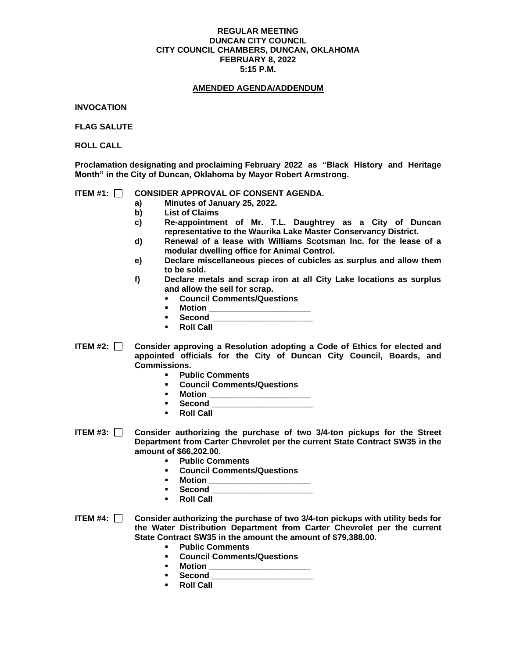### **REGULAR MEETING DUNCAN CITY COUNCIL CITY COUNCIL CHAMBERS, DUNCAN, OKLAHOMA FEBRUARY 8, 2022 5:15 P.M.**

### **AMENDED AGENDA/ADDENDUM**

**INVOCATION**

**FLAG SALUTE**

**ROLL CALL**

**Proclamation designating and proclaiming February 2022 as "Black History and Heritage Month" in the City of Duncan, Oklahoma by Mayor Robert Armstrong.** 

## **ITEM #1: CONSIDER APPROVAL OF CONSENT AGENDA.**

- **a) Minutes of January 25, 2022.**
- **b) List of Claims**
- **c) Re-appointment of Mr. T.L. Daughtrey as a City of Duncan representative to the Waurika Lake Master Conservancy District.**
- **d) Renewal of a lease with Williams Scotsman Inc. for the lease of a modular dwelling office for Animal Control.**
- **e) Declare miscellaneous pieces of cubicles as surplus and allow them to be sold.**
- **f) Declare metals and scrap iron at all City Lake locations as surplus and allow the sell for scrap.** 
	- **Council Comments/Questions**
	- **Motion** \_\_
	- **Second \_\_\_\_\_\_\_\_\_\_\_\_\_\_\_\_\_\_\_\_\_\_**
	- **Roll Call**
- **ITEM #2: Consider approving a Resolution adopting a Code of Ethics for elected and appointed officials for the City of Duncan City Council, Boards, and Commissions.** 
	- **Public Comments**
	- **Council Comments/Questions**
	- **Motion \_\_\_\_\_\_\_\_\_\_\_\_\_\_\_\_\_\_\_\_\_\_**
	- Second
	- **Roll Call**
- **ITEM #3: Consider authorizing the purchase of two 3/4-ton pickups for the Street Department from Carter Chevrolet per the current State Contract SW35 in the amount of \$66,202.00.**
	- **Public Comments**
	- **Council Comments/Questions**
	- **Motion \_\_\_\_\_\_\_\_\_\_\_\_\_\_\_\_\_\_\_\_\_\_**
	- **Second \_\_\_\_\_\_\_\_\_\_\_\_\_\_\_\_\_\_\_\_\_\_**
	- **Roll Call**
- **ITEM #4: Consider authorizing the purchase of two 3/4-ton pickups with utility beds for the Water Distribution Department from Carter Chevrolet per the current State Contract SW35 in the amount the amount of \$79,388.00.**
	- **Public Comments**
	- **Council Comments/Questions**
	- **Motion** \_\_
	- **Second \_\_\_\_\_\_\_\_\_\_\_\_\_\_\_\_\_\_\_\_\_\_**
	- **Roll Call**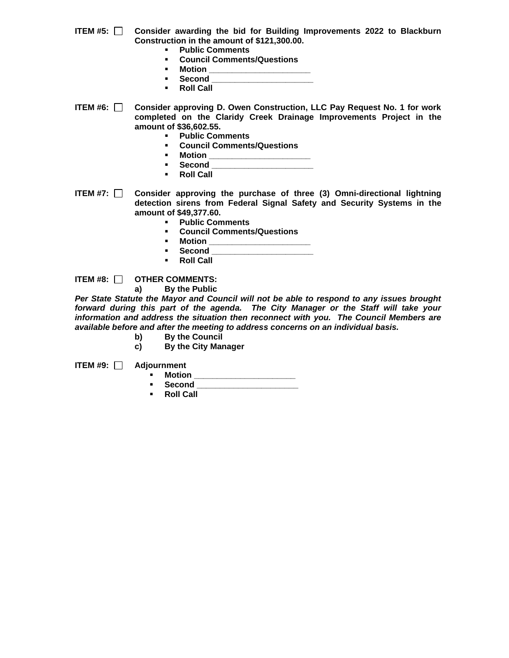- **ITEM #5: Consider awarding the bid for Building Improvements 2022 to Blackburn Construction in the amount of \$121,300.00.**
	- **Public Comments**
	- **Council Comments/Questions**
	- **Motion \_\_\_\_\_\_\_\_\_\_\_\_\_\_\_\_\_\_\_\_\_\_**
		- Second
	- **Roll Call**

**ITEM #6: Consider approving D. Owen Construction, LLC Pay Request No. 1 for work completed on the Claridy Creek Drainage Improvements Project in the amount of \$36,602.55.**

- **Public Comments**
- **Council Comments/Questions**
- **Motion \_\_\_\_\_\_\_\_\_\_\_\_\_\_\_\_\_\_\_\_\_\_**
- **Second \_\_\_\_\_\_\_\_\_\_\_\_\_\_\_\_\_\_\_\_\_\_**
- **Roll Call**
- **ITEM #7: Consider approving the purchase of three (3) Omni-directional lightning detection sirens from Federal Signal Safety and Security Systems in the amount of \$49,377.60.**
	- **Public Comments**
	- **Council Comments/Questions**
	-
	- **Motion \_\_\_\_\_\_\_\_\_\_\_\_\_\_\_\_\_\_\_\_\_\_** ▪ **Second \_\_\_\_\_\_\_\_\_\_\_\_\_\_\_\_\_\_\_\_\_\_**
	- **Roll Call**

**ITEM #8:**  $\Box$  **OTHER COMMENTS:** 

**a) By the Public**

*Per State Statute the Mayor and Council will not be able to respond to any issues brought forward during this part of the agenda. The City Manager or the Staff will take your information and address the situation then reconnect with you. The Council Members are available before and after the meeting to address concerns on an individual basis.*

- **b) By the Council**
- **c) By the City Manager**

**ITEM #9: Adjournment**

- **Motion \_\_\_\_\_\_\_\_\_\_\_\_\_\_\_\_\_\_\_\_\_\_**
	- **Second \_\_\_\_\_\_\_\_\_\_\_\_\_\_\_\_\_\_\_\_\_\_**
- **Roll Call**